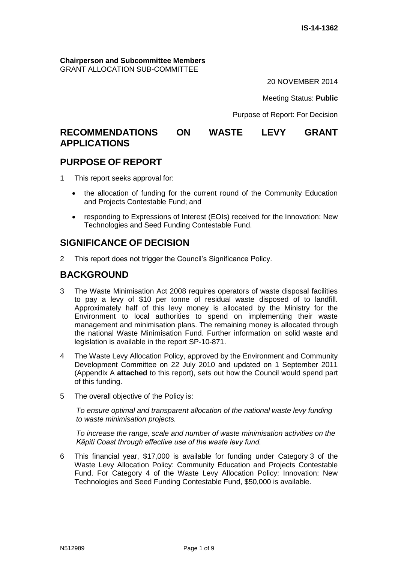**Chairperson and Subcommittee Members** GRANT ALLOCATION SUB-COMMITTEE

20 NOVEMBER 2014

Meeting Status: **Public**

Purpose of Report: For Decision

# **RECOMMENDATIONS ON WASTE LEVY GRANT APPLICATIONS**

# **PURPOSE OF REPORT**

1 This report seeks approval for:

- the allocation of funding for the current round of the Community Education and Projects Contestable Fund; and
- responding to Expressions of Interest (EOIs) received for the Innovation: New Technologies and Seed Funding Contestable Fund.

# **SIGNIFICANCE OF DECISION**

2 This report does not trigger the Council's Significance Policy.

## **BACKGROUND**

- 3 The Waste Minimisation Act 2008 requires operators of waste disposal facilities to pay a levy of \$10 per tonne of residual waste disposed of to landfill. Approximately half of this levy money is allocated by the Ministry for the Environment to local authorities to spend on implementing their waste management and minimisation plans. The remaining money is allocated through the national Waste Minimisation Fund. Further information on solid waste and legislation is available in the report SP-10-871.
- 4 The Waste Levy Allocation Policy, approved by the Environment and Community Development Committee on 22 July 2010 and updated on 1 September 2011 (Appendix A **attached** to this report), sets out how the Council would spend part of this funding.
- 5 The overall objective of the Policy is:

*To ensure optimal and transparent allocation of the national waste levy funding to waste minimisation projects.* 

*To increase the range, scale and number of waste minimisation activities on the Kāpiti Coast through effective use of the waste levy fund.*

6 This financial year, \$17,000 is available for funding under Category 3 of the Waste Levy Allocation Policy: Community Education and Projects Contestable Fund. For Category 4 of the Waste Levy Allocation Policy: Innovation: New Technologies and Seed Funding Contestable Fund, \$50,000 is available.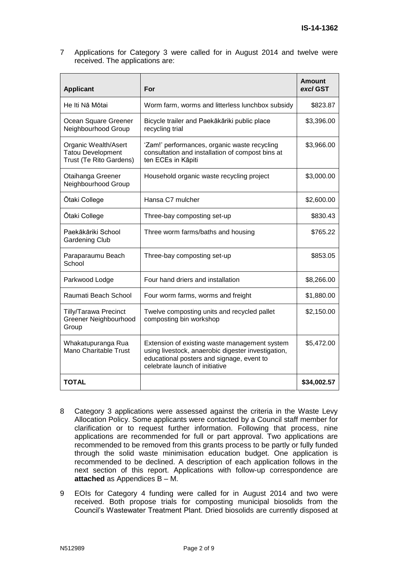7 Applications for Category 3 were called for in August 2014 and twelve were received. The applications are:

| <b>Applicant</b>                                                            | For                                                                                                                                                                                | Amount<br>excl GST |
|-----------------------------------------------------------------------------|------------------------------------------------------------------------------------------------------------------------------------------------------------------------------------|--------------------|
| He Iti Nā Mōtai                                                             | Worm farm, worms and litterless lunchbox subsidy                                                                                                                                   | \$823.87           |
| Ocean Square Greener<br>Neighbourhood Group                                 | Bicycle trailer and Paekākāriki public place<br>recycling trial                                                                                                                    | \$3,396.00         |
| Organic Wealth/Asert<br><b>Tatou Development</b><br>Trust (Te Rito Gardens) | 'Zam!' performances, organic waste recycling<br>consultation and installation of compost bins at<br>ten ECEs in Kāpiti                                                             | \$3,966.00         |
| Otaihanga Greener<br>Neighbourhood Group                                    | Household organic waste recycling project                                                                                                                                          | \$3,000.00         |
| <b>Otaki College</b>                                                        | Hansa C7 mulcher                                                                                                                                                                   | \$2,600.00         |
| Ōtaki College                                                               | Three-bay composting set-up                                                                                                                                                        | \$830.43           |
| Paekākāriki School<br><b>Gardening Club</b>                                 | Three worm farms/baths and housing                                                                                                                                                 | \$765.22           |
| Paraparaumu Beach<br>School                                                 | Three-bay composting set-up                                                                                                                                                        | \$853.05           |
| Parkwood Lodge                                                              | Four hand driers and installation                                                                                                                                                  | \$8,266.00         |
| Raumati Beach School                                                        | Four worm farms, worms and freight                                                                                                                                                 | \$1,880.00         |
| <b>Tilly/Tarawa Precinct</b><br><b>Greener Neighbourhood</b><br>Group       | Twelve composting units and recycled pallet<br>composting bin workshop                                                                                                             | \$2,150.00         |
| Whakatupuranga Rua<br>Mano Charitable Trust                                 | Extension of existing waste management system<br>using livestock, anaerobic digester investigation,<br>educational posters and signage, event to<br>celebrate launch of initiative | \$5,472.00         |
| <b>TOTAL</b>                                                                |                                                                                                                                                                                    | \$34,002.57        |

- 8 Category 3 applications were assessed against the criteria in the Waste Levy Allocation Policy. Some applicants were contacted by a Council staff member for clarification or to request further information. Following that process, nine applications are recommended for full or part approval. Two applications are recommended to be removed from this grants process to be partly or fully funded through the solid waste minimisation education budget. One application is recommended to be declined. A description of each application follows in the next section of this report. Applications with follow-up correspondence are **attached** as Appendices B – M.
- 9 EOIs for Category 4 funding were called for in August 2014 and two were received. Both propose trials for composting municipal biosolids from the Council's Wastewater Treatment Plant. Dried biosolids are currently disposed at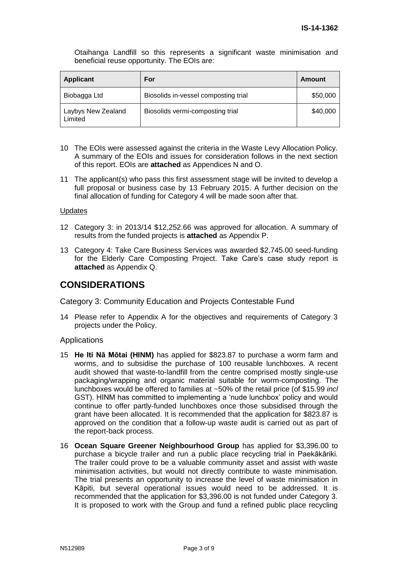Otaihanga Landfill so this represents a significant waste minimisation and beneficial reuse opportunity. The EOIs are:

| <b>Applicant</b>              | For                                  | Amount   |
|-------------------------------|--------------------------------------|----------|
| Biobagga Ltd                  | Biosolids in-vessel composting trial | \$50,000 |
| Laybys New Zealand<br>Limited | Biosolids vermi-composting trial     | \$40,000 |

- 10 The EOIs were assessed against the criteria in the Waste Levy Allocation Policy. A summary of the EOIs and issues for consideration follows in the next section of this report. EOIs are **attached** as Appendices N and O.
- 11 The applicant(s) who pass this first assessment stage will be invited to develop a full proposal or business case by 13 February 2015. A further decision on the final allocation of funding for Category 4 will be made soon after that.

#### **Updates**

- 12 Category 3: in 2013/14 \$12,252.66 was approved for allocation. A summary of results from the funded projects is **attached** as Appendix P.
- 13 Category 4: Take Care Business Services was awarded \$2,745.00 seed-funding for the Elderly Care Composting Project. Take Care's case study report is **attached** as Appendix Q.

# **CONSIDERATIONS**

Category 3: Community Education and Projects Contestable Fund

14 Please refer to Appendix A for the objectives and requirements of Category 3 projects under the Policy.

#### **Applications**

- 15 **He Iti Nā Mōtai (HINM)** has applied for \$823.87 to purchase a worm farm and worms, and to subsidise the purchase of 100 reusable lunchboxes. A recent audit showed that waste-to-landfill from the centre comprised mostly single-use packaging/wrapping and organic material suitable for worm-composting. The lunchboxes would be offered to families at ~50% of the retail price (of \$15.99 *incl* GST). HINM has committed to implementing a 'nude lunchbox' policy and would continue to offer partly-funded lunchboxes once those subsidised through the grant have been allocated. It is recommended that the application for \$823.87 is approved on the condition that a follow-up waste audit is carried out as part of the report-back process.
- 16 **Ocean Square Greener Neighbourhood Group** has applied for \$3,396.00 to purchase a bicycle trailer and run a public place recycling trial in Paekākāriki. The trailer could prove to be a valuable community asset and assist with waste minimisation activities, but would not directly contribute to waste minimisation. The trial presents an opportunity to increase the level of waste minimisation in Kāpiti, but several operational issues would need to be addressed. It is recommended that the application for \$3,396.00 is not funded under Category 3. It is proposed to work with the Group and fund a refined public place recycling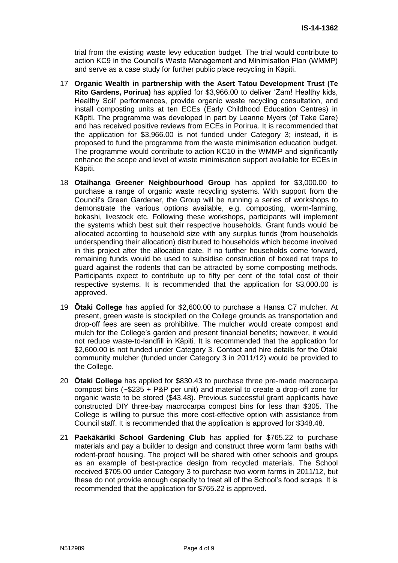trial from the existing waste levy education budget. The trial would contribute to action KC9 in the Council's Waste Management and Minimisation Plan (WMMP) and serve as a case study for further public place recycling in Kāpiti.

- 17 **Organic Wealth in partnership with the Asert Tatou Development Trust (Te Rito Gardens, Porirua)** has applied for \$3,966.00 to deliver 'Zam! Healthy kids, Healthy Soil' performances, provide organic waste recycling consultation, and install composting units at ten ECEs (Early Childhood Education Centres) in Kāpiti. The programme was developed in part by Leanne Myers (of Take Care) and has received positive reviews from ECEs in Porirua. It is recommended that the application for \$3,966.00 is not funded under Category 3; instead, it is proposed to fund the programme from the waste minimisation education budget. The programme would contribute to action KC10 in the WMMP and significantly enhance the scope and level of waste minimisation support available for ECEs in Kāpiti.
- 18 **Otaihanga Greener Neighbourhood Group** has applied for \$3,000.00 to purchase a range of organic waste recycling systems. With support from the Council's Green Gardener, the Group will be running a series of workshops to demonstrate the various options available, e.g. composting, worm-farming, bokashi, livestock etc. Following these workshops, participants will implement the systems which best suit their respective households. Grant funds would be allocated according to household size with any surplus funds (from households underspending their allocation) distributed to households which become involved in this project after the allocation date. If no further households come forward, remaining funds would be used to subsidise construction of boxed rat traps to guard against the rodents that can be attracted by some composting methods. Participants expect to contribute up to fifty per cent of the total cost of their respective systems. It is recommended that the application for \$3,000.00 is approved.
- 19 **Ōtaki College** has applied for \$2,600.00 to purchase a Hansa C7 mulcher. At present, green waste is stockpiled on the College grounds as transportation and drop-off fees are seen as prohibitive. The mulcher would create compost and mulch for the College's garden and present financial benefits; however, it would not reduce waste-to-landfill in Kāpiti. It is recommended that the application for \$2,600.00 is not funded under Category 3. Contact and hire details for the Ōtaki community mulcher (funded under Category 3 in 2011/12) would be provided to the College.
- 20 **Ōtaki College** has applied for \$830.43 to purchase three pre-made macrocarpa compost bins (~\$235 + P&P per unit) and material to create a drop-off zone for organic waste to be stored (\$43.48). Previous successful grant applicants have constructed DIY three-bay macrocarpa compost bins for less than \$305. The College is willing to pursue this more cost-effective option with assistance from Council staff. It is recommended that the application is approved for \$348.48.
- 21 **Paekākāriki School Gardening Club** has applied for \$765.22 to purchase materials and pay a builder to design and construct three worm farm baths with rodent-proof housing. The project will be shared with other schools and groups as an example of best-practice design from recycled materials. The School received \$705.00 under Category 3 to purchase two worm farms in 2011/12, but these do not provide enough capacity to treat all of the School's food scraps. It is recommended that the application for \$765.22 is approved.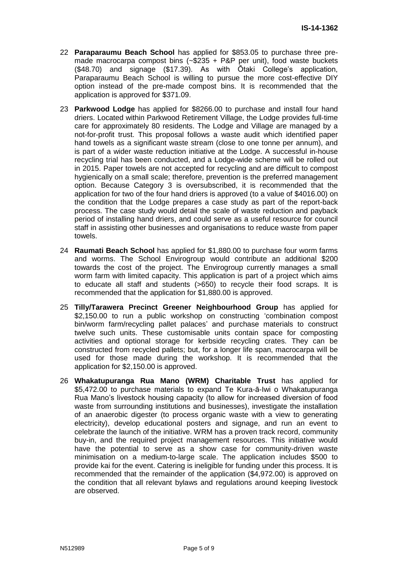- 22 **Paraparaumu Beach School** has applied for \$853.05 to purchase three premade macrocarpa compost bins  $(-\$235 + \text{P&P} \text{ per unit})$ , food waste buckets (\$48.70) and signage (\$17.39). As with Ōtaki College's application, Paraparaumu Beach School is willing to pursue the more cost-effective DIY option instead of the pre-made compost bins. It is recommended that the application is approved for \$371.09.
- 23 **Parkwood Lodge** has applied for \$8266.00 to purchase and install four hand driers. Located within Parkwood Retirement Village, the Lodge provides full-time care for approximately 80 residents. The Lodge and Village are managed by a not-for-profit trust. This proposal follows a waste audit which identified paper hand towels as a significant waste stream (close to one tonne per annum), and is part of a wider waste reduction initiative at the Lodge. A successful in-house recycling trial has been conducted, and a Lodge-wide scheme will be rolled out in 2015. Paper towels are not accepted for recycling and are difficult to compost hygienically on a small scale; therefore, prevention is the preferred management option. Because Category 3 is oversubscribed, it is recommended that the application for two of the four hand driers is approved (to a value of \$4016.00) on the condition that the Lodge prepares a case study as part of the report-back process. The case study would detail the scale of waste reduction and payback period of installing hand driers, and could serve as a useful resource for council staff in assisting other businesses and organisations to reduce waste from paper towels.
- 24 **Raumati Beach School** has applied for \$1,880.00 to purchase four worm farms and worms. The School Envirogroup would contribute an additional \$200 towards the cost of the project. The Envirogroup currently manages a small worm farm with limited capacity. This application is part of a project which aims to educate all staff and students (>650) to recycle their food scraps. It is recommended that the application for \$1,880.00 is approved.
- 25 **Tilly/Tarawera Precinct Greener Neighbourhood Group** has applied for \$2,150.00 to run a public workshop on constructing 'combination compost bin/worm farm/recycling pallet palaces' and purchase materials to construct twelve such units. These customisable units contain space for composting activities and optional storage for kerbside recycling crates. They can be constructed from recycled pallets; but, for a longer life span, macrocarpa will be used for those made during the workshop. It is recommended that the application for \$2,150.00 is approved.
- 26 **Whakatupuranga Rua Mano (WRM) Charitable Trust** has applied for \$5,472.00 to purchase materials to expand Te Kura-ā-Iwi o Whakatupuranga Rua Mano's livestock housing capacity (to allow for increased diversion of food waste from surrounding institutions and businesses), investigate the installation of an anaerobic digester (to process organic waste with a view to generating electricity), develop educational posters and signage, and run an event to celebrate the launch of the initiative. WRM has a proven track record, community buy-in, and the required project management resources. This initiative would have the potential to serve as a show case for community-driven waste minimisation on a medium-to-large scale. The application includes \$500 to provide kai for the event. Catering is ineligible for funding under this process. It is recommended that the remainder of the application (\$4,972.00) is approved on the condition that all relevant bylaws and regulations around keeping livestock are observed.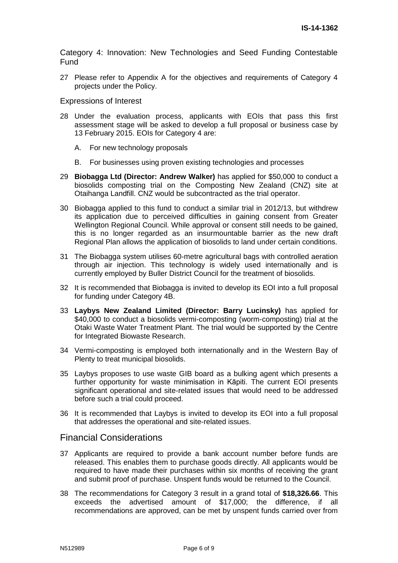Category 4: Innovation: New Technologies and Seed Funding Contestable Fund

27 Please refer to Appendix A for the objectives and requirements of Category 4 projects under the Policy.

#### Expressions of Interest

- 28 Under the evaluation process, applicants with EOIs that pass this first assessment stage will be asked to develop a full proposal or business case by 13 February 2015. EOIs for Category 4 are:
	- A. For new technology proposals
	- B. For businesses using proven existing technologies and processes
- 29 **Biobagga Ltd (Director: Andrew Walker)** has applied for \$50,000 to conduct a biosolids composting trial on the Composting New Zealand (CNZ) site at Otaihanga Landfill. CNZ would be subcontracted as the trial operator.
- 30 Biobagga applied to this fund to conduct a similar trial in 2012/13, but withdrew its application due to perceived difficulties in gaining consent from Greater Wellington Regional Council. While approval or consent still needs to be gained, this is no longer regarded as an insurmountable barrier as the new draft Regional Plan allows the application of biosolids to land under certain conditions.
- 31 The Biobagga system utilises 60-metre agricultural bags with controlled aeration through air injection. This technology is widely used internationally and is currently employed by Buller District Council for the treatment of biosolids.
- 32 It is recommended that Biobagga is invited to develop its EOI into a full proposal for funding under Category 4B.
- 33 **Laybys New Zealand Limited (Director: Barry Lucinsky)** has applied for \$40,000 to conduct a biosolids vermi-composting (worm-composting) trial at the Otaki Waste Water Treatment Plant. The trial would be supported by the Centre for Integrated Biowaste Research.
- 34 Vermi-composting is employed both internationally and in the Western Bay of Plenty to treat municipal biosolids.
- 35 Laybys proposes to use waste GIB board as a bulking agent which presents a further opportunity for waste minimisation in Kāpiti. The current EOI presents significant operational and site-related issues that would need to be addressed before such a trial could proceed.
- 36 It is recommended that Laybys is invited to develop its EOI into a full proposal that addresses the operational and site-related issues.

## Financial Considerations

- 37 Applicants are required to provide a bank account number before funds are released. This enables them to purchase goods directly. All applicants would be required to have made their purchases within six months of receiving the grant and submit proof of purchase. Unspent funds would be returned to the Council.
- 38 The recommendations for Category 3 result in a grand total of **\$18,326.66**. This exceeds the advertised amount of \$17,000; the difference, if all recommendations are approved, can be met by unspent funds carried over from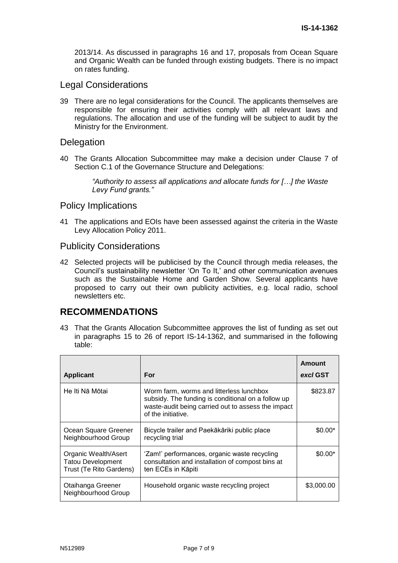2013/14. As discussed in paragraphs 16 and 17, proposals from Ocean Square and Organic Wealth can be funded through existing budgets. There is no impact on rates funding.

## Legal Considerations

39 There are no legal considerations for the Council. The applicants themselves are responsible for ensuring their activities comply with all relevant laws and regulations. The allocation and use of the funding will be subject to audit by the Ministry for the Environment.

### **Delegation**

40 The Grants Allocation Subcommittee may make a decision under Clause 7 of Section C.1 of the Governance Structure and Delegations:

> *"Authority to assess all applications and allocate funds for […] the Waste Levy Fund grants."*

## Policy Implications

41 The applications and EOIs have been assessed against the criteria in the Waste Levy Allocation Policy 2011.

### Publicity Considerations

42 Selected projects will be publicised by the Council through media releases, the Council's sustainability newsletter 'On To It,' and other communication avenues such as the Sustainable Home and Garden Show. Several applicants have proposed to carry out their own publicity activities, e.g. local radio, school newsletters etc.

## **RECOMMENDATIONS**

43 That the Grants Allocation Subcommittee approves the list of funding as set out in paragraphs 15 to 26 of report IS-14-1362, and summarised in the following table:

| <b>Applicant</b>                                                            | For                                                                                                                                                                        | Amount<br>excl GST |
|-----------------------------------------------------------------------------|----------------------------------------------------------------------------------------------------------------------------------------------------------------------------|--------------------|
| He Iti Nā Mōtai                                                             | Worm farm, worms and litterless lunchbox<br>subsidy. The funding is conditional on a follow up<br>waste-audit being carried out to assess the impact<br>of the initiative. | \$823.87           |
| Ocean Square Greener<br>Neighbourhood Group                                 | Bicycle trailer and Paekākāriki public place<br>recycling trial                                                                                                            | $$0.00*$           |
| Organic Wealth/Asert<br><b>Tatou Development</b><br>Trust (Te Rito Gardens) | 'Zam!' performances, organic waste recycling<br>consultation and installation of compost bins at<br>ten ECEs in Kāpiti                                                     | $$0.00*$           |
| Otaihanga Greener<br>Neighbourhood Group                                    | Household organic waste recycling project                                                                                                                                  | \$3,000.00         |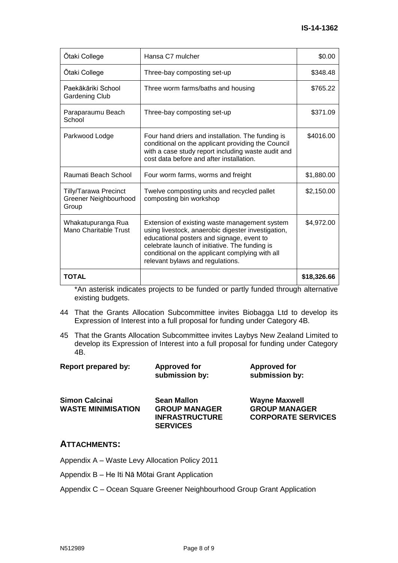| Ōtaki College                                                  | Hansa C7 mulcher                                                                                                                                                                                                                                                                          | \$0.00      |
|----------------------------------------------------------------|-------------------------------------------------------------------------------------------------------------------------------------------------------------------------------------------------------------------------------------------------------------------------------------------|-------------|
| Ōtaki College                                                  | Three-bay composting set-up                                                                                                                                                                                                                                                               | \$348.48    |
| Paekākāriki School<br>Gardening Club                           | Three worm farms/baths and housing                                                                                                                                                                                                                                                        | \$765.22    |
| Paraparaumu Beach<br>School                                    | Three-bay composting set-up                                                                                                                                                                                                                                                               | \$371.09    |
| Parkwood Lodge                                                 | Four hand driers and installation. The funding is<br>conditional on the applicant providing the Council<br>with a case study report including waste audit and<br>cost data before and after installation.                                                                                 | \$4016.00   |
| Raumati Beach School                                           | Four worm farms, worms and freight                                                                                                                                                                                                                                                        | \$1,880.00  |
| <b>Tilly/Tarawa Precinct</b><br>Greener Neighbourhood<br>Group | Twelve composting units and recycled pallet<br>composting bin workshop                                                                                                                                                                                                                    | \$2,150.00  |
| Whakatupuranga Rua<br>Mano Charitable Trust                    | Extension of existing waste management system<br>using livestock, anaerobic digester investigation,<br>educational posters and signage, event to<br>celebrate launch of initiative. The funding is<br>conditional on the applicant complying with all<br>relevant bylaws and regulations. | \$4,972.00  |
| TOTAL                                                          |                                                                                                                                                                                                                                                                                           | \$18,326.66 |

\*An asterisk indicates projects to be funded or partly funded through alternative existing budgets.

- 44 That the Grants Allocation Subcommittee invites Biobagga Ltd to develop its Expression of Interest into a full proposal for funding under Category 4B.
- 45 That the Grants Allocation Subcommittee invites Laybys New Zealand Limited to develop its Expression of Interest into a full proposal for funding under Category 4B.

| Report prepared by:                                | <b>Approved for</b><br>submission by:      | <b>Approved for</b><br>submission by:        |
|----------------------------------------------------|--------------------------------------------|----------------------------------------------|
| <b>Simon Calcinai</b><br><b>WASTE MINIMISATION</b> | <b>Sean Mallon</b><br><b>GROUP MANAGER</b> | <b>Wayne Maxwell</b><br><b>GROUP MANAGER</b> |
|                                                    | <b>INFRASTRUCTURE</b>                      | <b>CORPORATE SERVICES</b>                    |

**SERVICES**

## **ATTACHMENTS:**

Appendix A – Waste Levy Allocation Policy 2011

Appendix B – He Iti Nā Mōtai Grant Application

Appendix C – Ocean Square Greener Neighbourhood Group Grant Application